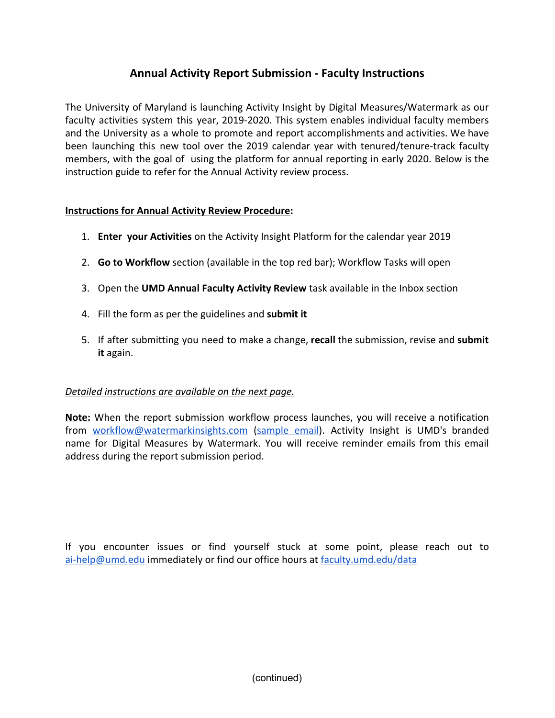# **Annual Activity Report Submission - Faculty Instructions**

The University of Maryland is launching Activity Insight by Digital Measures/Watermark as our faculty activities system this year, 2019-2020. This system enables individual faculty members and the University as a whole to promote and report accomplishments and activities. We have been launching this new tool over the 2019 calendar year with tenured/tenure-track faculty members, with the goal of using the platform for annual reporting in early 2020. Below is the instruction guide to refer for the Annual Activity review process.

#### **Instructions for Annual Activity Review Procedure:**

- 1. **Enter your Activities** on the Activity Insight Platform for the calendar year 2019
- 2. **Go to Workflow** section (available in the top red bar); Workflow Tasks will open
- 3. Open the **UMD Annual Faculty Activity Review** task available in the Inbox section
- 4. Fill the form as per the guidelines and **submit it**
- 5. If after submitting you need to make a change, **recall** the submission, revise and **submit it** again.

### *Detailed instructions are available on the next page.*

**Note:** When the report submission workflow process launches, you will receive a notification from [workflow@watermarkinsights.com](mailto:workflow@watermarkinsights.com) ([sample](https://faculty.umd.edu/data/documents/annualReviewInvite.png) email). Activity Insight is UMD's branded name for Digital Measures by Watermark. You will receive reminder emails from this email address during the report submission period.

If you encounter issues or find yourself stuck at some point, please reach out to [ai-help@umd.edu](mailto:ai-help@umd.edu) immediately or find our office hours at [faculty.umd.edu/data](https://faculty.umd.edu/data/)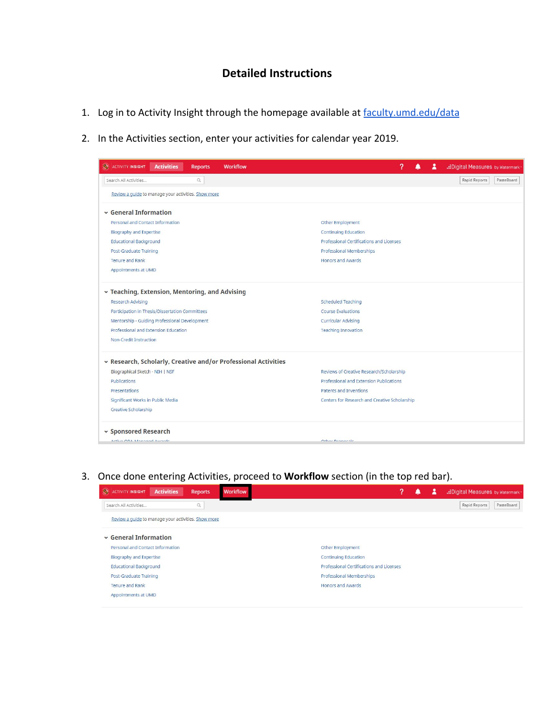## **Detailed Instructions**

- 1. Log in to Activity Insight through the homepage available at [faculty.umd.edu/data](https://faculty.umd.edu/data/)
- 2. In the Activities section, enter your activities for calendar year 2019.

| <b>O</b> ACTIVITY INSIGHT                           | <b>Activities</b>                             | <b>Reports</b>                 | <b>Workflow</b>                                                | 7                                             | д | .: Digital Measures by Watermark |  |  |  |  |  |
|-----------------------------------------------------|-----------------------------------------------|--------------------------------|----------------------------------------------------------------|-----------------------------------------------|---|----------------------------------|--|--|--|--|--|
| Search All Activities                               |                                               | $\hbox{\scriptsize\textsf{Q}}$ |                                                                |                                               |   | Rapid Reports<br>PasteBoard      |  |  |  |  |  |
| Review a guide to manage your activities. Show more |                                               |                                |                                                                |                                               |   |                                  |  |  |  |  |  |
| $\sim$ General Information                          |                                               |                                |                                                                |                                               |   |                                  |  |  |  |  |  |
| Personal and Contact Information                    |                                               |                                |                                                                | Other Employment                              |   |                                  |  |  |  |  |  |
| <b>Biography and Expertise</b>                      |                                               |                                |                                                                | <b>Continuing Education</b>                   |   |                                  |  |  |  |  |  |
| <b>Educational Background</b>                       |                                               |                                |                                                                | Professional Certifications and Licenses      |   |                                  |  |  |  |  |  |
| Post-Graduate Training                              |                                               |                                |                                                                | Professional Memberships                      |   |                                  |  |  |  |  |  |
| Tenure and Rank                                     |                                               |                                |                                                                | <b>Honors and Awards</b>                      |   |                                  |  |  |  |  |  |
| Appointments at UMD                                 |                                               |                                |                                                                |                                               |   |                                  |  |  |  |  |  |
| v Teaching, Extension, Mentoring, and Advising      |                                               |                                |                                                                |                                               |   |                                  |  |  |  |  |  |
| Research Advising                                   |                                               |                                |                                                                | <b>Scheduled Teaching</b>                     |   |                                  |  |  |  |  |  |
| Participation in Thesis/Dissertation Committees     |                                               |                                |                                                                | Course Evaluations                            |   |                                  |  |  |  |  |  |
|                                                     | Mentorship - Guiding Professional Development |                                |                                                                | <b>Curricular Advising</b>                    |   |                                  |  |  |  |  |  |
|                                                     | Professional and Extension Education          |                                |                                                                | <b>Teaching Innovation</b>                    |   |                                  |  |  |  |  |  |
| Non-Credit Instruction                              |                                               |                                |                                                                |                                               |   |                                  |  |  |  |  |  |
|                                                     |                                               |                                | v Research, Scholarly, Creative and/or Professional Activities |                                               |   |                                  |  |  |  |  |  |
| Biographical Sketch - NIH   NSF                     |                                               |                                |                                                                | Reviews of Creative Research/Scholarship      |   |                                  |  |  |  |  |  |
| Publications                                        |                                               |                                | Professional and Extension Publications                        |                                               |   |                                  |  |  |  |  |  |
| Presentations                                       |                                               |                                |                                                                | Patents and Inventions                        |   |                                  |  |  |  |  |  |
| Significant Works in Public Media                   |                                               |                                |                                                                | Centers for Research and Creative Scholarship |   |                                  |  |  |  |  |  |
| Creative Scholarship                                |                                               |                                |                                                                |                                               |   |                                  |  |  |  |  |  |
| v Sponsored Research                                |                                               |                                |                                                                |                                               |   |                                  |  |  |  |  |  |
| Active ODA Managed Australe                         |                                               |                                |                                                                | Other Drenessic                               |   |                                  |  |  |  |  |  |

### 3. Once done entering Activities, proceed to **Workflow** section (in the top red bar).

| <b>CE ACTIVITY INSIGHT</b>                          | <b>Activities</b> | <b>Reports</b> | <b>Workflow</b> | ?<br>2<br>.: Digital Measures by Watermark |
|-----------------------------------------------------|-------------------|----------------|-----------------|--------------------------------------------|
| Search All Activities                               |                   | Q              |                 | Rapid Reports<br>PasteBoard                |
| Review a quide to manage your activities. Show more |                   |                |                 |                                            |
| $\sim$ General Information                          |                   |                |                 |                                            |
| Personal and Contact Information                    |                   |                |                 | Other Employment                           |
| Biography and Expertise                             |                   |                |                 | <b>Continuing Education</b>                |
| <b>Educational Background</b>                       |                   |                |                 | Professional Certifications and Licenses   |
| Post-Graduate Training                              |                   |                |                 | Professional Memberships                   |
| <b>Tenure and Rank</b>                              |                   |                |                 | <b>Honors and Awards</b>                   |
| Appointments at UMD                                 |                   |                |                 |                                            |
|                                                     |                   |                |                 |                                            |